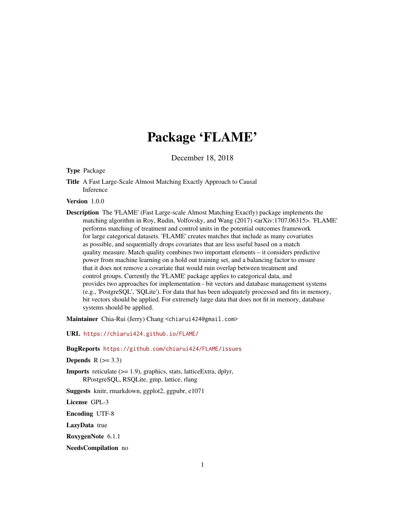# Package 'FLAME'

December 18, 2018

#### Type Package

Title A Fast Large-Scale Almost Matching Exactly Approach to Causal Inference

#### Version 1.0.0

Description The 'FLAME' (Fast Large-scale Almost Matching Exactly) package implements the matching algorithm in Roy, Rudin, Volfovsky, and Wang (2017) <arXiv:1707.06315>. 'FLAME' performs matching of treatment and control units in the potential outcomes framework for large categorical datasets. 'FLAME' creates matches that include as many covariates as possible, and sequentially drops covariates that are less useful based on a match quality measure. Match quality combines two important elements – it considers predictive power from machine learning on a hold out training set, and a balancing factor to ensure that it does not remove a covariate that would ruin overlap between treatment and control groups. Currently the 'FLAME' package applies to categorical data, and provides two approaches for implementation - bit vectors and database management systems (e.g., 'PostgreSQL', 'SQLite'). For data that has been adequately processed and fits in memory, bit vectors should be applied. For extremely large data that does not fit in memory, database systems should be applied.

Maintainer Chia-Rui (Jerry) Chang <chiarui424@gmail.com>

URL <https://chiarui424.github.io/FLAME/>

BugReports <https://github.com/chiarui424/FLAME/issues>

Depends  $R$  ( $>= 3.3$ )

Imports reticulate (>= 1.9), graphics, stats, latticeExtra, dplyr, RPostgreSQL, RSQLite, gmp, lattice, rlang

Suggests knitr, rmarkdown, ggplot2, ggpubr, e1071

License GPL-3

Encoding UTF-8

LazyData true

RoxygenNote 6.1.1

NeedsCompilation no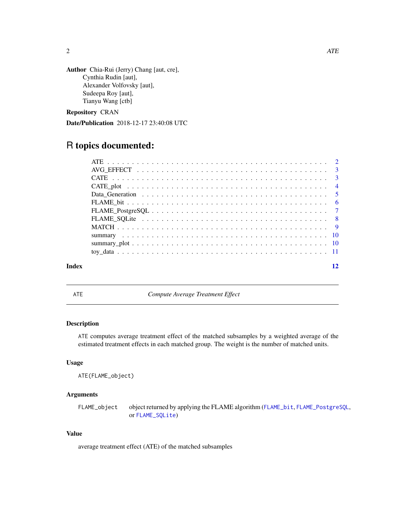<span id="page-1-0"></span>

```
Author Chia-Rui (Jerry) Chang [aut, cre],
     Cynthia Rudin [aut],
      Alexander Volfovsky [aut],
      Sudeepa Roy [aut],
     Tianyu Wang [ctb]
```
Repository CRAN

Date/Publication 2018-12-17 23:40:08 UTC

## R topics documented:

| Index |  |
|-------|--|
|       |  |
|       |  |
|       |  |
|       |  |
|       |  |
|       |  |
|       |  |
|       |  |
|       |  |
|       |  |
|       |  |
|       |  |

ATE *Compute Average Treatment Effect*

#### Description

ATE computes average treatment effect of the matched subsamples by a weighted average of the estimated treatment effects in each matched group. The weight is the number of matched units.

#### Usage

```
ATE(FLAME_object)
```
#### Arguments

FLAME\_object object returned by applying the FLAME algorithm ([FLAME\\_bit](#page-5-1), [FLAME\\_PostgreSQL](#page-6-1), or [FLAME\\_SQLite](#page-7-1))

#### Value

average treatment effect (ATE) of the matched subsamples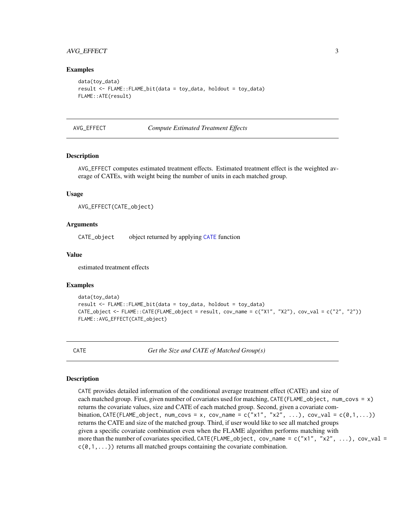#### <span id="page-2-0"></span>AVG\_EFFECT 3

#### Examples

```
data(toy_data)
result <- FLAME::FLAME_bit(data = toy_data, holdout = toy_data)
FLAME::ATE(result)
```
#### AVG\_EFFECT *Compute Estimated Treatment Effects*

#### Description

AVG\_EFFECT computes estimated treatment effects. Estimated treatment effect is the weighted average of CATEs, with weight being the number of units in each matched group.

#### Usage

```
AVG_EFFECT(CATE_object)
```
#### Arguments

CATE\_object object returned by applying [CATE](#page-2-1) function

#### Value

estimated treatment effects

#### Examples

```
data(toy_data)
result <- FLAME::FLAME_bit(data = toy_data, holdout = toy_data)
CATE\_object \leq FLAME::CATE(FLAME\_object = result, cov_name = c("X1", "X2"), cov_val = c("2", "2"))FLAME::AVG_EFFECT(CATE_object)
```
<span id="page-2-1"></span>CATE *Get the Size and CATE of Matched Group(s)*

#### Description

CATE provides detailed information of the conditional average treatment effect (CATE) and size of each matched group. First, given number of covariates used for matching, CATE(FLAME\_object, num\_covs = x) returns the covariate values, size and CATE of each matched group. Second, given a covariate combination, CATE(FLAME\_object, num\_covs = x, cov\_name = c("x1", "x2", ...), cov\_val = c(0,1,...)) returns the CATE and size of the matched group. Third, if user would like to see all matched groups given a specific covariate combination even when the FLAME algorithm performs matching with more than the number of covariates specified, CATE(FLAME\_object, cov\_name = c("x1", "x2", ...), cov\_val =  $c(0,1,...)$  returns all matched groups containing the covariate combination.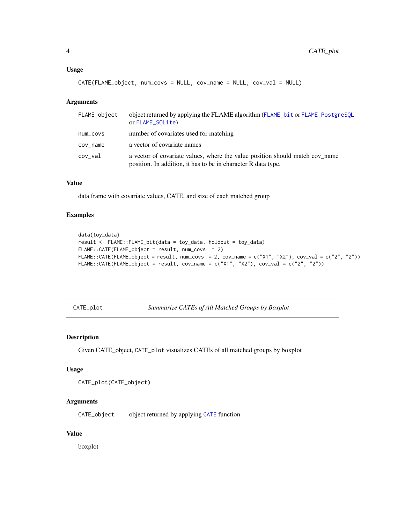#### <span id="page-3-0"></span>Usage

```
CATE(FLAME_object, num_covs = NULL, cov_name = NULL, cov_val = NULL)
```
#### Arguments

| FLAME_object | object returned by applying the FLAME algorithm (FLAME_bit or FLAME_PostgreSQL<br>or FLAME_SOLite)                                            |
|--------------|-----------------------------------------------------------------------------------------------------------------------------------------------|
| num_covs     | number of covariates used for matching                                                                                                        |
| cov name     | a vector of covariate names                                                                                                                   |
| cov_val      | a vector of covariate values, where the value position should match cov name<br>position. In addition, it has to be in character R data type. |

#### Value

data frame with covariate values, CATE, and size of each matched group

#### Examples

```
data(toy_data)
result <- FLAME::FLAME_bit(data = toy_data, holdout = toy_data)
FLAME::CATE(FLAME_object = result, num_covs = 2)
FLAME::CATE(FLAME_object = result, num_covs = 2, cov_name = c("X1", "X2"), cov_val = c("2", "2"))
FLAME::CATE(FLAME_object = result, cov_name = c("X1", "X2"), cov_val = c("2", "2"))
```
CATE\_plot *Summarize CATEs of All Matched Groups by Boxplot*

#### Description

Given CATE\_object, CATE\_plot visualizes CATEs of all matched groups by boxplot

#### Usage

```
CATE_plot(CATE_object)
```
#### Arguments

CATE\_object object returned by applying [CATE](#page-2-1) function

#### Value

boxplot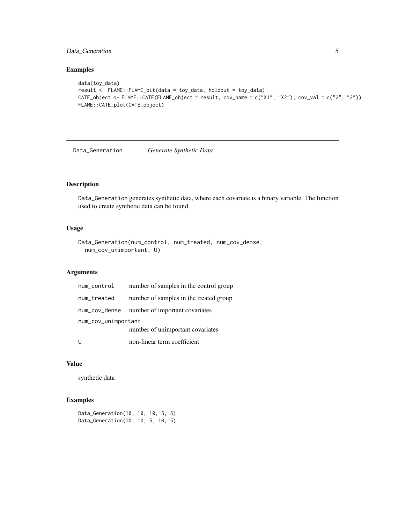#### <span id="page-4-0"></span>Data\_Generation 5

#### Examples

```
data(toy_data)
result <- FLAME::FLAME_bit(data = toy_data, holdout = toy_data)
CATE_object <- FLAME::CATE(FLAME_object = result, cov_name = c("X1", "X2"), cov_val = c("2", "2"))
FLAME::CATE_plot(CATE_object)
```
Data\_Generation *Generate Synthetic Data*

#### Description

Data\_Generation generates synthetic data, where each covariate is a binary variable. The function used to create synthetic data can be found

#### Usage

```
Data_Generation(num_control, num_treated, num_cov_dense,
  num_cov_unimportant, U)
```
#### Arguments

| num_control         | number of samples in the control group |  |  |  |
|---------------------|----------------------------------------|--|--|--|
| num_treated         | number of samples in the treated group |  |  |  |
| num_cov_dense       | number of important covariates         |  |  |  |
| num_cov_unimportant |                                        |  |  |  |
|                     | number of unimportant covariates       |  |  |  |
|                     | non-linear term coefficient            |  |  |  |

#### Value

synthetic data

```
Data_Generation(10, 10, 10, 5, 5)
Data_Generation(10, 10, 5, 10, 5)
```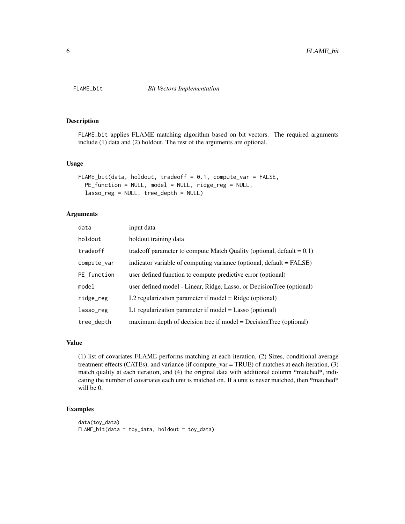<span id="page-5-1"></span><span id="page-5-0"></span>

#### Description

FLAME\_bit applies FLAME matching algorithm based on bit vectors. The required arguments include (1) data and (2) holdout. The rest of the arguments are optional.

#### Usage

```
FLAME_bit(data, holdout, tradeoff = 0.1, compute_var = FALSE,
 PE_function = NULL, model = NULL, ridge_reg = NULL,
  lasso_reg = NULL, tree_depth = NULL)
```
#### Arguments

| data        | input data                                                               |
|-------------|--------------------------------------------------------------------------|
| holdout     | holdout training data                                                    |
| tradeoff    | tradeoff parameter to compute Match Quality (optional, default $= 0.1$ ) |
| compute_var | indicator variable of computing variance (optional, default = FALSE)     |
| PE_function | user defined function to compute predictive error (optional)             |
| model       | user defined model - Linear, Ridge, Lasso, or DecisionTree (optional)    |
| ridge_reg   | L2 regularization parameter if model $=$ Ridge (optional)                |
| lasso_reg   | L1 regularization parameter if model $=$ Lasso (optional)                |
| tree_depth  | maximum depth of decision tree if model = DecisionTree (optional)        |

#### Value

(1) list of covariates FLAME performs matching at each iteration, (2) Sizes, conditional average treatment effects (CATEs), and variance (if compute\_var = TRUE) of matches at each iteration, (3) match quality at each iteration, and (4) the original data with additional column \*matched\*, indicating the number of covariates each unit is matched on. If a unit is never matched, then \*matched\* will be 0.

```
data(toy_data)
FLAME_bit(data = toy_data, holdout = toy_data)
```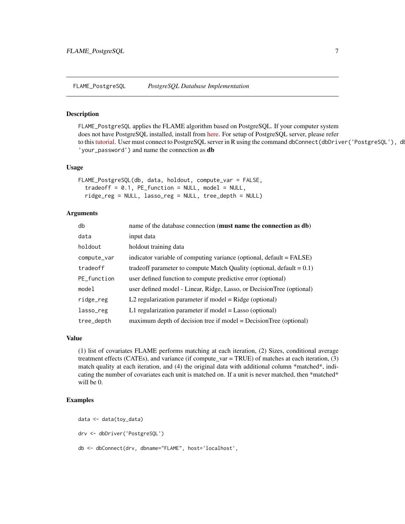<span id="page-6-1"></span><span id="page-6-0"></span>FLAME\_PostgreSQL *PostgreSQL Database Implementation*

#### Description

FLAME\_PostgreSQL applies the FLAME algorithm based on PostgreSQL. If your computer system does not have PostgreSQL installed, install from [here.](https://www.postgresql.org/download/) For setup of PostgreSQL server, please refer to this [tutorial.](http://www.postgresqltutorial.com/connect-to-postgresql-database/) User must connect to PostgreSQL server in R using the command dbConnect(dbDriver('PostgreSQL'), d 'your\_password') and name the connection as db

#### Usage

```
FLAME_PostgreSQL(db, data, holdout, compute_var = FALSE,
  tradeoff = 0.1, PE_function = NULL, model = NULL,
  ridge_reg = NULL, lasso_reg = NULL, tree_depth = NULL)
```
#### Arguments

| db          | name of the database connection (must name the connection as db)         |
|-------------|--------------------------------------------------------------------------|
| data        | input data                                                               |
| holdout     | holdout training data                                                    |
| compute_var | indicator variable of computing variance (optional, default = FALSE)     |
| tradeoff    | tradeoff parameter to compute Match Quality (optional, default $= 0.1$ ) |
| PE_function | user defined function to compute predictive error (optional)             |
| model       | user defined model - Linear, Ridge, Lasso, or DecisionTree (optional)    |
| ridge_reg   | L2 regularization parameter if model = $Ridge$ (optional)                |
| lasso_reg   | L1 regularization parameter if model $=$ Lasso (optional)                |
| tree_depth  | maximum depth of decision tree if model = DecisionTree (optional)        |

#### Value

(1) list of covariates FLAME performs matching at each iteration, (2) Sizes, conditional average treatment effects (CATEs), and variance (if compute\_var = TRUE) of matches at each iteration, (3) match quality at each iteration, and (4) the original data with additional column \*matched\*, indicating the number of covariates each unit is matched on. If a unit is never matched, then \*matched\* will be 0.

```
data <- data(toy_data)
drv <- dbDriver('PostgreSQL')
db <- dbConnect(drv, dbname="FLAME", host='localhost',
```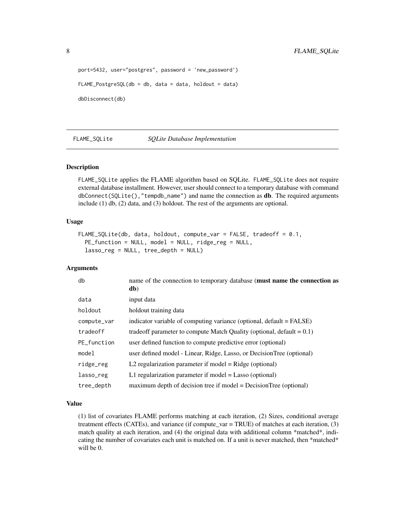```
port=5432, user="postgres", password = 'new_password')
FLAME_PostgreSQL(db = db, data = data, holdout = data)dbDisconnect(db)
```
<span id="page-7-1"></span>FLAME\_SQLite *SQLite Database Implementation*

#### Description

FLAME\_SQLite applies the FLAME algorithm based on SQLite. FLAME\_SQLite does not require external database installment. However, user should connect to a temporary database with command dbConnect(SQLite(),"tempdb\_name") and name the connection as db. The required arguments include (1) db, (2) data, and (3) holdout. The rest of the arguments are optional.

#### Usage

```
FLAME_SQLite(db, data, holdout, compute_var = FALSE, tradeoff = 0.1,
 PE_function = NULL, model = NULL, ridge_reg = NULL,
  lasso_reg = NULL, tree_depth = NULL)
```
#### Arguments

| db          | name of the connection to temporary database (must name the connection as<br>db) |
|-------------|----------------------------------------------------------------------------------|
| data        | input data                                                                       |
| holdout     | holdout training data                                                            |
| compute_var | indicator variable of computing variance (optional, default = FALSE)             |
| tradeoff    | tradeoff parameter to compute Match Quality (optional, default $= 0.1$ )         |
| PE_function | user defined function to compute predictive error (optional)                     |
| model       | user defined model - Linear, Ridge, Lasso, or DecisionTree (optional)            |
| ridge_reg   | L2 regularization parameter if model $=$ Ridge (optional)                        |
| lasso_reg   | L1 regularization parameter if model $=$ Lasso (optional)                        |
| tree_depth  | maximum depth of decision tree if model = DecisionTree (optional)                |

#### Value

(1) list of covariates FLAME performs matching at each iteration, (2) Sizes, conditional average treatment effects (CATEs), and variance (if compute\_var = TRUE) of matches at each iteration, (3) match quality at each iteration, and (4) the original data with additional column \*matched\*, indicating the number of covariates each unit is matched on. If a unit is never matched, then \*matched\* will be 0.

<span id="page-7-0"></span>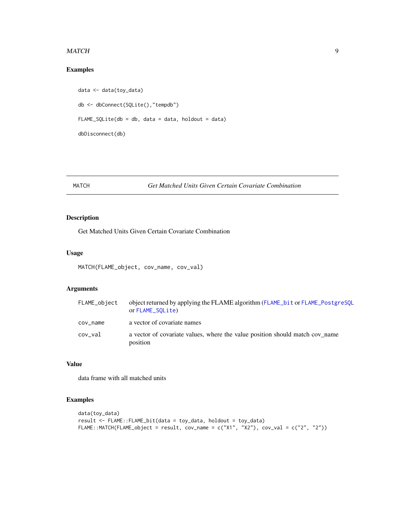#### <span id="page-8-0"></span>MATCH 99

#### Examples

```
data <- data(toy_data)
db <- dbConnect(SQLite(),"tempdb")
FLAME_SQLife(db = db, data = data, holdout = data)dbDisconnect(db)
```
#### MATCH *Get Matched Units Given Certain Covariate Combination*

#### Description

Get Matched Units Given Certain Covariate Combination

#### Usage

```
MATCH(FLAME_object, cov_name, cov_val)
```
#### Arguments

| FLAME_object | object returned by applying the FLAME algorithm (FLAME_bit or FLAME_PostgreSQL<br>or FLAME_SOLite) |
|--------------|----------------------------------------------------------------------------------------------------|
| cov_name     | a vector of covariate names                                                                        |
| cov_val      | a vector of covariate values, where the value position should match cov name<br>position           |

### Value

data frame with all matched units

```
data(toy_data)
result <- FLAME::FLAME_bit(data = toy_data, holdout = toy_data)
FLAME::MATCH(FLAME\_object = result, cov_name = c("X1", "X2"), cov_val = c("2", "2"))
```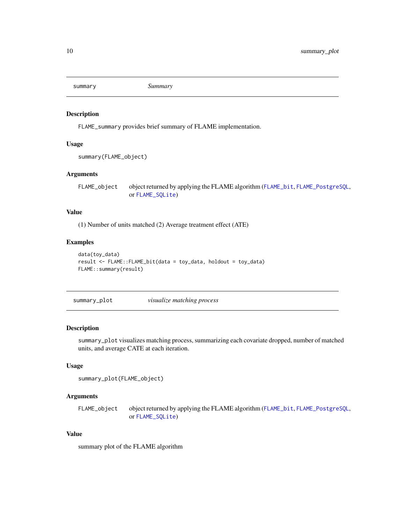<span id="page-9-0"></span>

#### Description

FLAME\_summary provides brief summary of FLAME implementation.

#### Usage

```
summary(FLAME_object)
```
#### Arguments

FLAME\_object object returned by applying the FLAME algorithm ([FLAME\\_bit](#page-5-1), [FLAME\\_PostgreSQL](#page-6-1), or [FLAME\\_SQLite](#page-7-1))

#### Value

(1) Number of units matched (2) Average treatment effect (ATE)

#### Examples

```
data(toy_data)
result <- FLAME::FLAME_bit(data = toy_data, holdout = toy_data)
FLAME::summary(result)
```
summary\_plot *visualize matching process*

#### Description

summary\_plot visualizes matching process, summarizing each covariate dropped, number of matched units, and average CATE at each iteration.

#### Usage

```
summary_plot(FLAME_object)
```
#### Arguments

FLAME\_object object returned by applying the FLAME algorithm ([FLAME\\_bit](#page-5-1), [FLAME\\_PostgreSQL](#page-6-1), or [FLAME\\_SQLite](#page-7-1))

#### Value

summary plot of the FLAME algorithm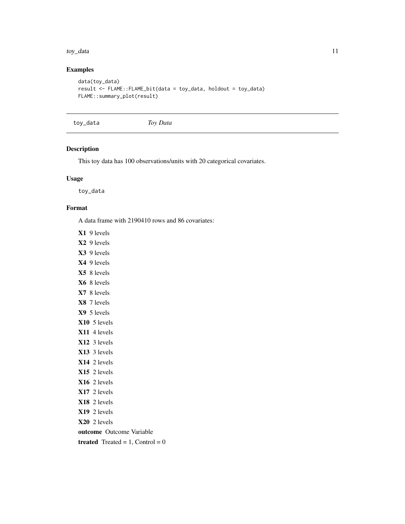#### <span id="page-10-0"></span>toy\_data 11

#### Examples

```
data(toy_data)
result <- FLAME::FLAME_bit(data = toy_data, holdout = toy_data)
FLAME::summary_plot(result)
```
toy\_data *Toy Data*

#### Description

This toy data has 100 observations/units with 20 categorical covariates.

#### Usage

toy\_data

#### Format

A data frame with 2190410 rows and 86 covariates:

- X1 9 levels
- X2 9 levels
- X3 9 levels
- X4 9 levels
- X5 8 levels
- X6 8 levels
- X7 8 levels
- X8 7 levels
- X9 5 levels
- X10 5 levels
- X11 4 levels
- X12 3 levels
- X13 3 levels
- X14 2 levels
- X15 2 levels
- X16 2 levels
- X17 2 levels
- X18 2 levels
- X19 2 levels
- X20 2 levels
- outcome Outcome Variable
- treated Treated =  $1$ , Control = 0